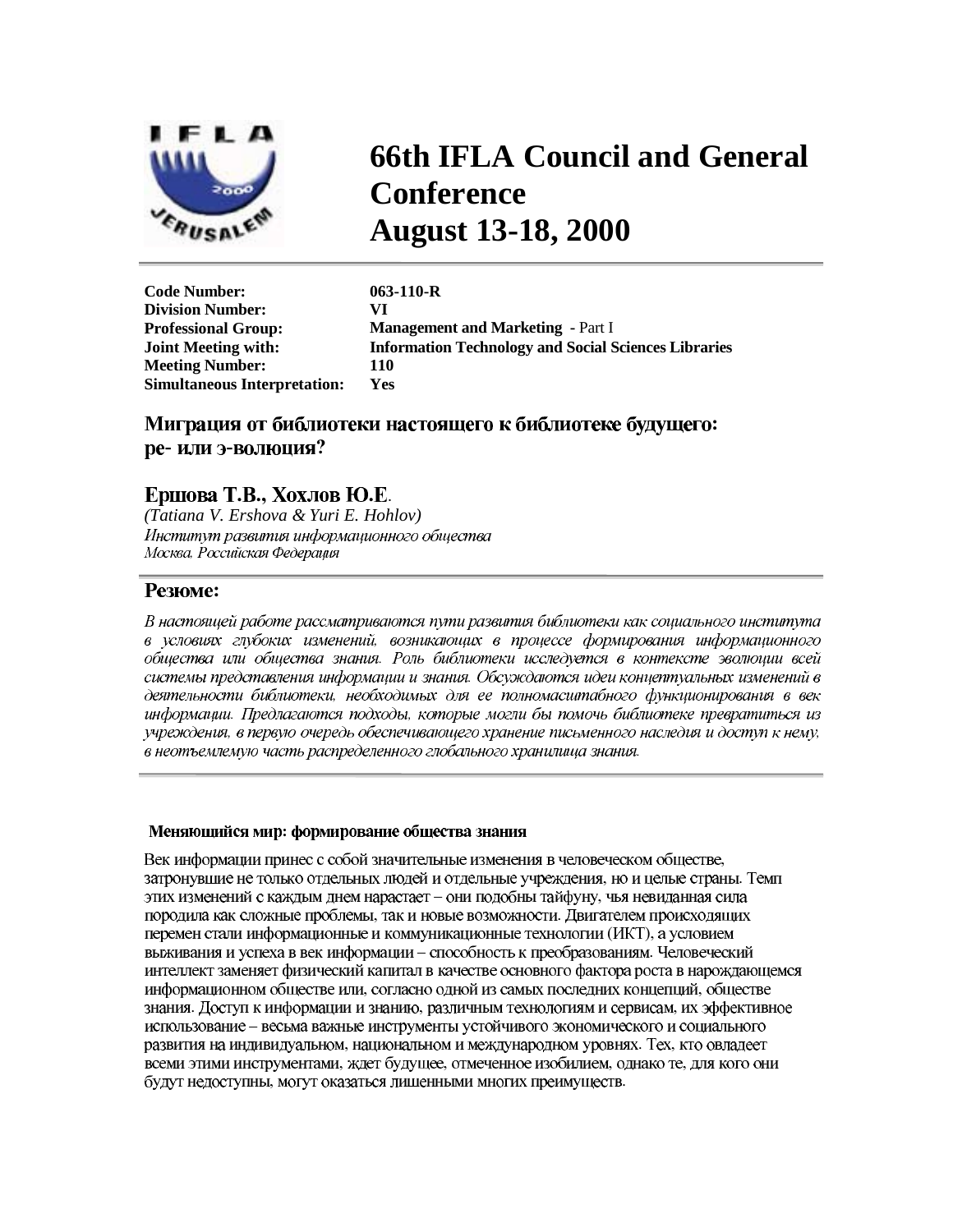

# **66th IFLA Council and General Conference August 13-18, 2000**

**Code Number: 063-110-R Division Number: VI Professional Group: Management and Marketing - Part I Joint Meeting with: Information Technology and Social Sciences Libraries Meeting Number: 110 Simultaneous Interpretation: Yes** 

## ре-или э-волюция?

# Ершова Т.В., Хохлов Ю.Е.

*(Tatiana V. Ershova & Yuri E. Hohlov)*  Институт развития информационного общества *-*

### **Резюме:**

В настоящей работе рассматриваются пути развития библиотеки как социального института  общества или общества знания. Роль библиотеки исследуется в контексте эволюции всей системы представления информации и знания. Обсуждаются идеи концептуальных изменений в *- - Предлагаются подходы,* , в первую очередь обеспечивающего хранение письменного наследия и доступ к нему, в неотъемлемую часть распределенного глобального хранилища знания.

#### **-**

- , но и целые страны. – они подобны тайфуну, , так и новые возможности.  $(HKT)$ , выживания и успеха в век информации - способность к преобразованиям. Человеческий интеллект заменяет физический капитал в качестве основного фактора роста в нарождающемся , согласно одной из самых последних концепций, . Доступ к информации и знанию, различным технологиям и сервисам, использование - весьма важные инструменты устойчивого экономического и социального , национальном и международном уровнях. Тех, , ждет будущее, отмеченное изобилием, однако те, , могут оказаться лишенными многих преимуществ.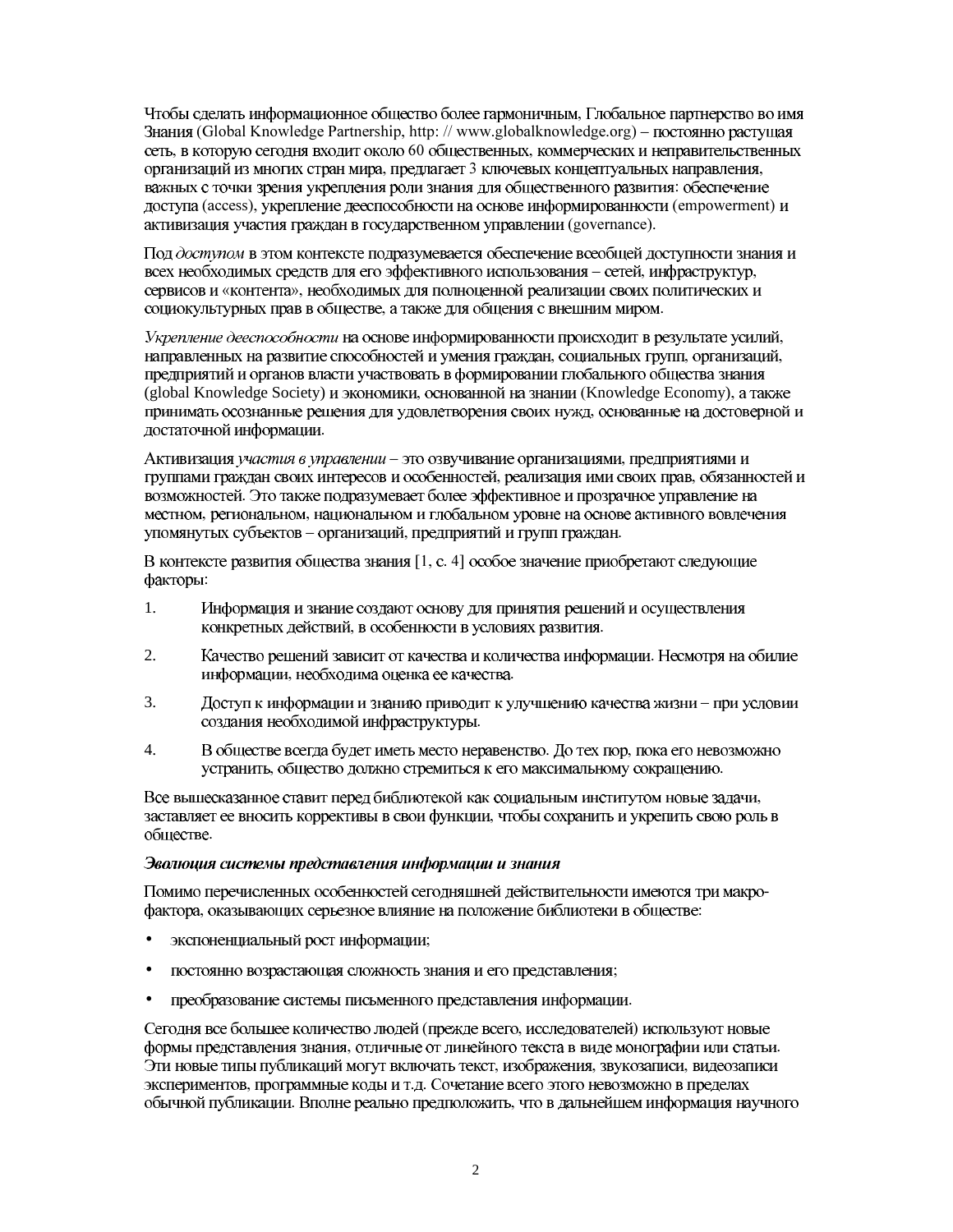Чтобы сделать информационное общество более гармоничным, Глобальное партнерство во имя Знания (Global Knowledge Partnership, http://www.globalknowledge.org) – постоянно растущая сеть, в которую сегодня входит около 60 общественных, коммерческих и неправительственных организаций из многих стран мира, предлагает 3 ключевых концептуальных направления, важных с точки зрения укрепления роли знания для общественного развития: обеспечение доступа (access), укрепление дееспособности на основе информированности (empowerment) и активизация участия граждан в государственном управлении (governance).

Под доступом в этом контексте подразумевается обеспечение всеобщей доступности знания и всех необходимых средств для его эффективного использования - сетей, инфраструктур, сервисов и «контента», необходимых для полноценной реализации своих политических и социокультурных прав в обществе, а также для общения с внешним миром.

Укрепление дееспособности на основе информированности происходит в результате усилий, направленных на развитие способностей и умения граждан, социальных групп, организаций, предприятий и органов власти участвовать в формировании глобального общества знания (global Knowledge Society) и экономики, основанной на знании (Knowledge Economy), а также принимать осознанные решения для удовлетворения своих нужд, основанные на достоверной и достаточной информации.

Активизация участия в управлении - это озвучивание организациями, предприятиями и группами граждан своих интересов и особенностей, реализация ими своих прав, обязанностей и возможностей. Это также подразумевает более эффективное и прозрачное управление на местном, региональном, национальном и глобальном уровне на основе активного вовлечения упомянутых субъектов - организаций, предприятий и групп граждан.

В контексте развития общества знания [1, с. 4] особое значение приобретают следующие факторы:

- 1. Информация и знание создают основу для принятия решений и осуществления конкретных действий, в особенности в условиях развития.
- $2.$ Качество решений зависит от качества и количества информации. Несмотря на обилие информации, необходима оценка ее качества.
- $3.$ Доступ к информации и знанию приводит к улучшению качества жизни - при условии создания необходимой инфраструктуры.
- $4.$ В обществе всегда будет иметь место неравенство. До тех пор, пока его невозможно устранить, общество должно стремиться к его максимальному сокращению.

Все вышесказанное ставит перед библиотекой как социальным институтом новые задачи, заставляет ее вносить коррективы в свои функции, чтобы сохранить и укрепить свою роль в обществе.

#### Эволюция системы представления информации и знания

Помимо перечисленных особенностей сегодняшней действительности имеются три макрофактора, оказывающих серьезное влияние на положение библиотеки в обществе:

- экспоненциальный рост информации;
- постоянно возрастающая сложность знания и его представления;  $\bullet$
- преобразование системы письменного представления информации.

Сегодня все большее количество людей (прежде всего, исследователей) используют новые формы представления знания, отличные от линейного текста в виде монографии или статьи. Эти новые типы публикаций могут включать текст, изображения, звукозаписи, видеозаписи экспериментов, программные коды и т.д. Сочетание всего этого невозможно в пределах обычной публикации. Вполне реально предположить, что в дальнейшем информация научного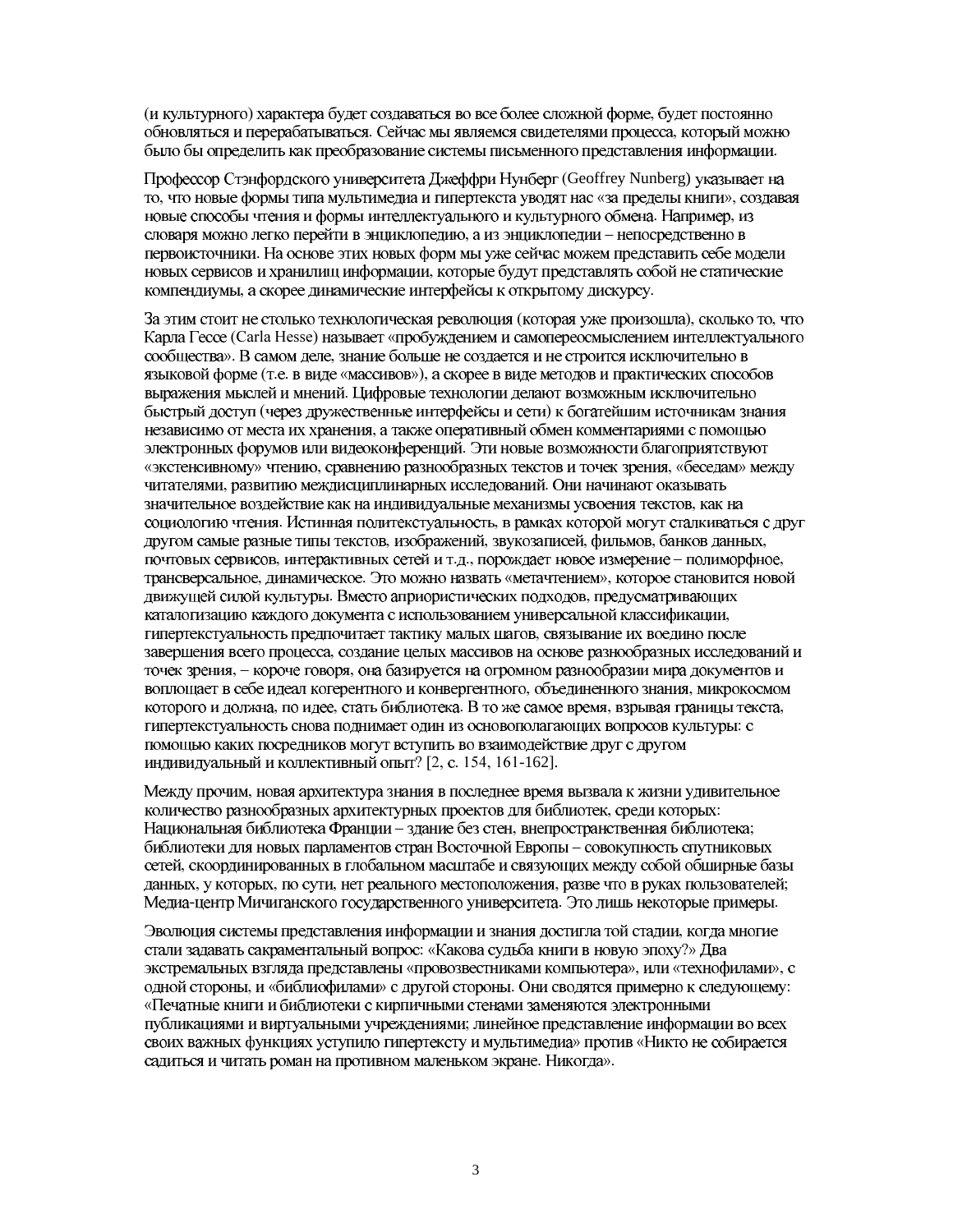(и культурного) характера будет создаваться во все более сложной форме, будет постоянно обновляться и перерабатываться. Сейчас мы являемся свидетелями процесса, который можно было бы определить как преобразование системы письменного представления информации.

Профессор Стэнфордского университета Джеффри Нунберг (Geoffrey Nunberg) указывает на то, что новые формы типа мультимедиа и гипертекста уводят нас «за пределы книги», создавая новые способы чтения и формы интеллектуального и культурного обмена. Например, из словаря можно легко перейти в энциклопедию, а из энциклопедии - непосредственно в первоисточники. На основе этих новых форм мы уже сейчас можем представить себе модели новых сервисов и хранилищ информации, которые будут представлять собой не статические компендиумы, а скорее динамические интерфейсы к открытому дискурсу.

За этим стоит не столько технологическая революция (которая уже произошла), сколько то, что Карла Гессе (Carla Hesse) называет «пробуждением и самопереосмыслением интеллектуального сообщества». В самом деле, знание больше не создается и не строится исключительно в языковой форме (т.е. в виде «массивов»), а скорее в виде методов и практических способов выражения мыслей и мнений. Цифровые технологии делают возможным исключительно быстрый доступ (через дружественные интерфейсы и сети) к богатейшим источникам знания независимо от места их хранения, а также оперативный обмен комментариями с помощью электронных форумов или видеоконференций. Эти новые возможности благоприятствуют «экстенсивному» чтению, сравнению разнообразных текстов и точек зрения, «беседам» между читателями, развитию междисциплинарных исследований. Они начинают оказывать значительное воздействие как на индивидуальные механизмы усвоения текстов, как на социологию чтения. Истинная политекстуальность, в рамках которой могут сталкиваться с друг другом самые разные типы текстов, изображений, звукозаписей, фильмов, банков данных, почтовых сервисов, интерактивных сетей и т.д., порождает новое измерение - полиморфное, трансверсальное, динамическое. Это можно назвать «метачтением», которое становится новой движущей силой культуры. Вместо априористических подходов, предусматривающих каталогизацию каждого документа с использованием универсальной классификации, гипертекстуальность предпочитает тактику малых шагов, связывание их воедино после завершения всего процесса, создание целых массивов на основе разнообразных исследований и точек зрения, - короче говоря, она базируется на огромном разнообразии мира документов и воплощает в себе идеал когерентного и конвергентного, объединенного знания, микрокосмом которого и должна, по идее, стать библиотека. В то же самое время, взрывая границы текста, гипертекстуальность снова поднимает один из основополагающих вопросов культуры: с помощью каких посредников могут вступить во взаимодействие друг с другом индивидуальный и коллективный опыт? [2, с. 154, 161-162].

Между прочим, новая архитектура знания в последнее время вызвала к жизни удивительное количество разнообразных архитектурных проектов для библиотек, среди которых: Национальная библиотека Франции - здание без стен, внепространственная библиотека; библиотеки для новых парламентов стран Восточной Европы - совокупность спутниковых сетей, скоординированных в глобальном масштабе и связующих между собой обширные базы данных, у которых, по сути, нет реального местоположения, разве что в руках пользователей; Медиа-центр Мичиганского государственного университета. Это лишь некоторые примеры.

Эволюция системы представления информации и знания достигла той стадии, когда многие стали задавать сакраментальный вопрос: «Какова судьба книги в новую эпоху?» Два экстремальных взгляда представлены «провозвестниками компьютера», или «технофилами», с одной стороны, и «библиофилами» с другой стороны. Они сводятся примерно к следующему: «Печатные книги и библиотеки с кирпичными стенами заменяются электронными публикациями и виртуальными учреждениями; линейное представление информации во всех своих важных функциях уступило гипертексту и мультимедиа» против «Никто не собирается садиться и читать роман на противном маленьком экране. Никогда».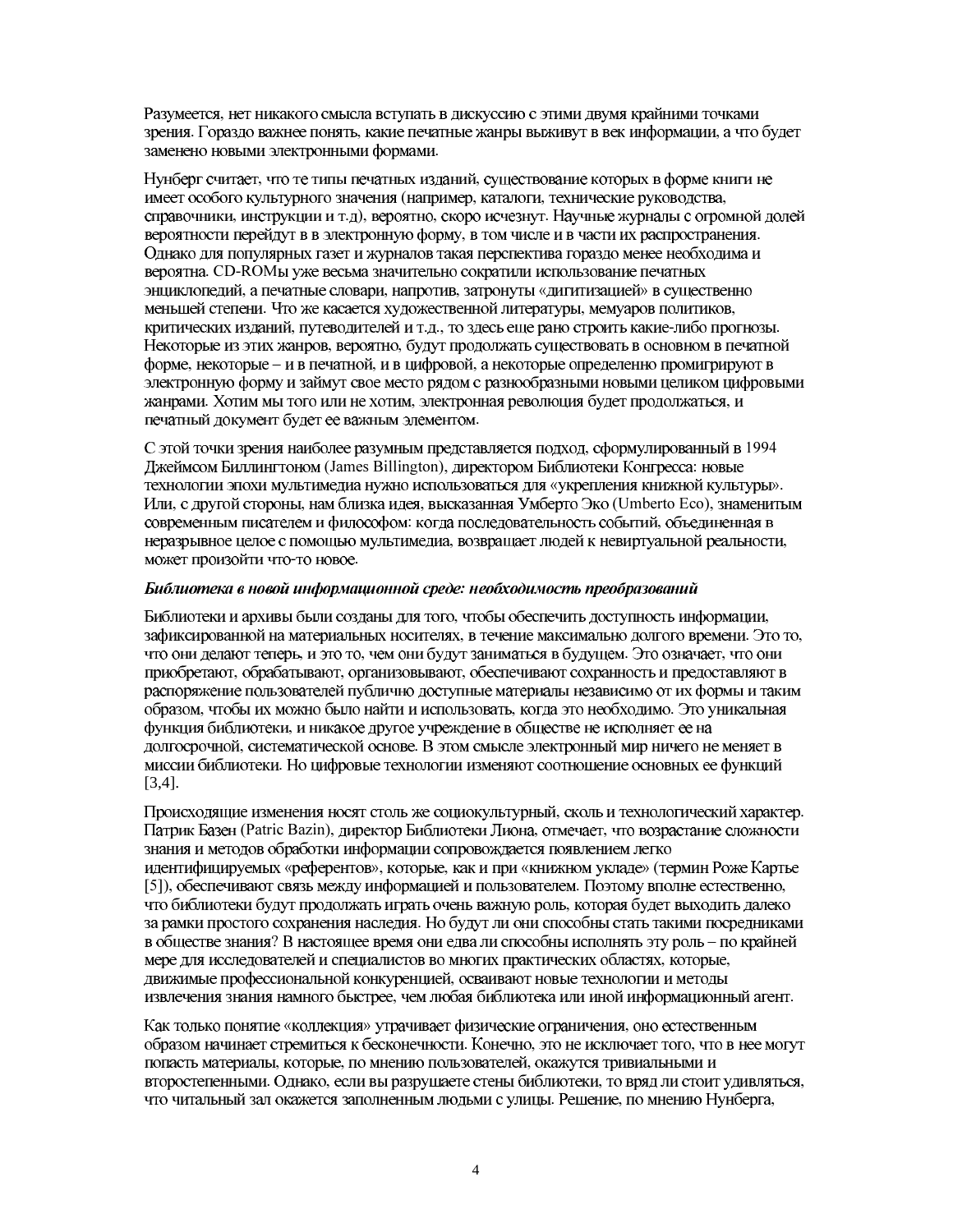Разумеется, нет никакого смысла вступать в дискуссию с этими двумя крайними точками зрения. Гораздо важнее понять, какие печатные жанры выживут в век информации, а что будет заменено новыми электронными формами.

Нунберг считает, что те типы печатных изданий, существование которых в форме книги не имеет особого культурного значения (например, каталоги, технические руководства, справочники, инструкции и т.д), вероятно, скоро исчезнут. Научные журналы с огромной долей вероятности перейдут в в электронную форму, в том числе и в части их распространения. Однако для популярных газет и журналов такая перспектива гораздо менее необходима и вероятна. CD-ROMы уже весьма значительно сократили использование печатных энциклопедий, а печатные словари, напротив, затронуты «дигитизацией» в существенно меньшей степени. Что же касается художественной литературы, мемуаров политиков, критических изданий, путеводителей и т.д., то здесь еще рано строить какие-либо прогнозы. Некоторые из этих жанров, вероятно, будут продолжать существовать в основном в печатной форме, некоторые - и в печатной, и в цифровой, а некоторые определенно промигрируют в электронную форму и займут свое место рядом с разнообразными новыми целиком цифровыми жанрами. Хотим мы того или не хотим, электронная революция будет продолжаться, и печатный документ будет ее важным элементом.

С этой точки зрения наиболее разумным представляется подход, сформулированный в 1994 Джеймсом Биллингтоном (James Billington), директором Библиотеки Конгресса: новые технологии эпохи мультимедиа нужно использоваться для «укрепления книжной культуры». Или, с другой стороны, нам близка идея, высказанная Умберто Эко (Umberto Eco), знаменитым современным писателем и философом: когда последовательность событий, объединенная в неразрывное целое с помощью мультимедиа, возвращает людей к невиртуальной реальности, может произойти что-то новое.

#### Библиотека в новой информационной среде: необходимость преобразований

Библиотеки и архивы были созданы для того, чтобы обеспечить доступность информации, зафиксированной на материальных носителях, в течение максимально долгого времени. Это то, что они делают теперь, и это то, чем они будут заниматься в будущем. Это означает, что они приобретают, обрабатывают, организовывают, обеспечивают сохранность и предоставляют в распоряжение пользователей публично доступные материалы независимо от их формы и таким образом, чтобы их можно было найти и использовать, когда это необходимо. Это уникальная функция библиотеки, и никакое другое учреждение в обществе не исполняет ее на долгосрочной, систематической основе. В этом смысле электронный мир ничего не меняет в миссии библиотеки. Но цифровые технологии изменяют соотношение основных ее функций  $[3,4]$ .

Происходящие изменения носят столь же социокультурный, сколь и технологический характер. Патрик Базен (Patric Bazin), директор Библиотеки Лиона, отмечает, что возрастание сложности знания и методов обработки информации сопровождается появлением легко идентифицируемых «референтов», которые, как и при «книжном укладе» (термин Роже Картье [5]), обеспечивают связь между информацией и пользователем. Поэтому вполне естественно, что библиотеки будут продолжать играть очень важную роль, которая будет выходить далеко за рамки простого сохранения наследия. Но будут ли они способны стать такими посредниками в обществе знания? В настоящее время они едва ли способны исполнять эту роль - по крайней мере для исследователей и специалистов во многих практических областях, которые, движимые профессиональной конкуренцией, осваивают новые технологии и методы извлечения знания намного быстрее, чем любая библиотека или иной информационный агент.

Как только понятие «коллекция» утрачивает физические ограничения, оно естественным образом начинает стремиться к бесконечности. Конечно, это не исключает того, что в нее могут попасть материалы, которые, по мнению пользователей, окажутся тривиальными и второстепенными. Однако, если вы разрушаете стены библиотеки, то вряд ли стоит удивляться, что читальный зал окажется заполненным людьми с улицы. Решение, по мнению Нунберга,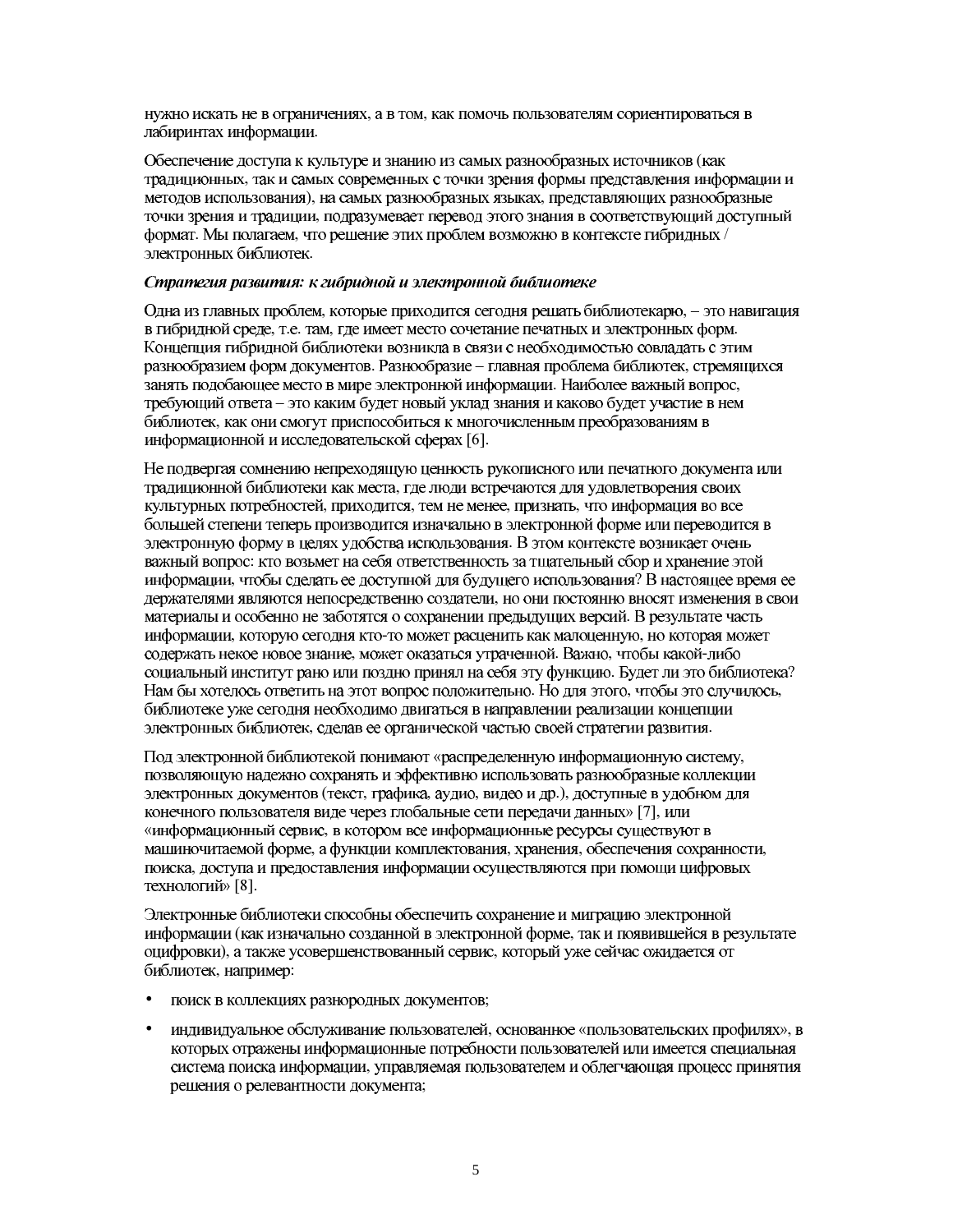нужно искать не в ограничениях, а в том, как помочь пользователям сориентироваться в лабиринтах информации.

Обеспечение доступа к культуре и знанию из самых разнообразных источников (как традиционных, так и самых современных с точки зрения формы представления информации и методов использования), на самых разнообразных языках, представляющих разнообразные точки зрения и традиции, подразумевает перевод этого знания в соответствующий доступный формат. Мы полагаем, что решение этих проблем возможно в контексте гибридных / электронных библиотек.

#### Стратегия развития: к гибридной и электронной библиотеке

Одна из главных проблем, которые приходится сегодня решать библиотекарю, - это навигация в гибридной среде, т.е. там, где имеет место сочетание печатных и электронных форм. Концепция гибридной библиотеки возникла в связи с необходимостью совладать с этим разнообразием форм документов. Разнообразие - главная проблема библиотек, стремящихся занять подобающее место в мире электронной информации. Наиболее важный вопрос, требующий ответа - это каким будет новый уклад знания и каково будет участие в нем библиотек, как они смогут приспособиться к многочисленным преобразованиям в информационной и исследовательской сферах [6].

Не подвергая сомнению непреходящую ценность рукописного или печатного документа или традиционной библиотеки как места, где люди встречаются для удовлетворения своих культурных потребностей, приходится, тем не менее, признать, что информация во все большей степени теперь производится изначально в электронной форме или переводится в электронную форму в целях удобства использования. В этом контексте возникает очень важный вопрос: кто возьмет на себя ответственность за тщательный сбор и хранение этой информации, чтобы сделать ее доступной для будущего использования? В настоящее время ее держателями являются непосредственно создатели, но они постоянно вносят изменения в свои материалы и особенно не заботятся о сохранении предыдущих версий. В результате часть информации, которую сегодня кто-то может расценить как малоценную, но которая может содержать некое новое знание, может оказаться утраченной. Важно, чтобы какой-либо социальный институт рано или поздно принял на себя эту функцию. Будет ли это библиотека? Нам бы хотелось ответить на этот вопрос положительно. Но для этого, чтобы это случилось, библиотеке уже сегодня необходимо двигаться в направлении реализации концепции электронных библиотек, сделав ее органической частью своей стратегии развития.

Под электронной библиотекой понимают «распределенную информационную систему, позволяющую надежно сохранять и эффективно использовать разнообразные коллекции электронных документов (текст, графика, аудио, видео и др.), доступные в удобном для конечного пользователя виде через глобальные сети передачи данных» [7], или «информационный сервис, в котором все информационные ресурсы существуют в машиночитаемой форме, а функции комплектования, хранения, обеспечения сохранности, поиска, доступа и предоставления информации осуществляются при помощи цифровых технологий» [8].

Электронные библиотеки способны обеспечить сохранение и миграцию электронной информации (как изначально созданной в электронной форме, так и появившейся в результате оцифровки), а также усовершенствованный сервис, который уже сейчас ожидается от библиотек, например:

- поиск в коллекциях разнородных документов;  $\bullet$
- индивидуальное обслуживание пользователей, основанное «пользовательских профилях», в  $\bullet$ которых отражены информационные потребности пользователей или имеется специальная система поиска информации, управляемая пользователем и облегчающая процесс принятия решения о релевантности документа;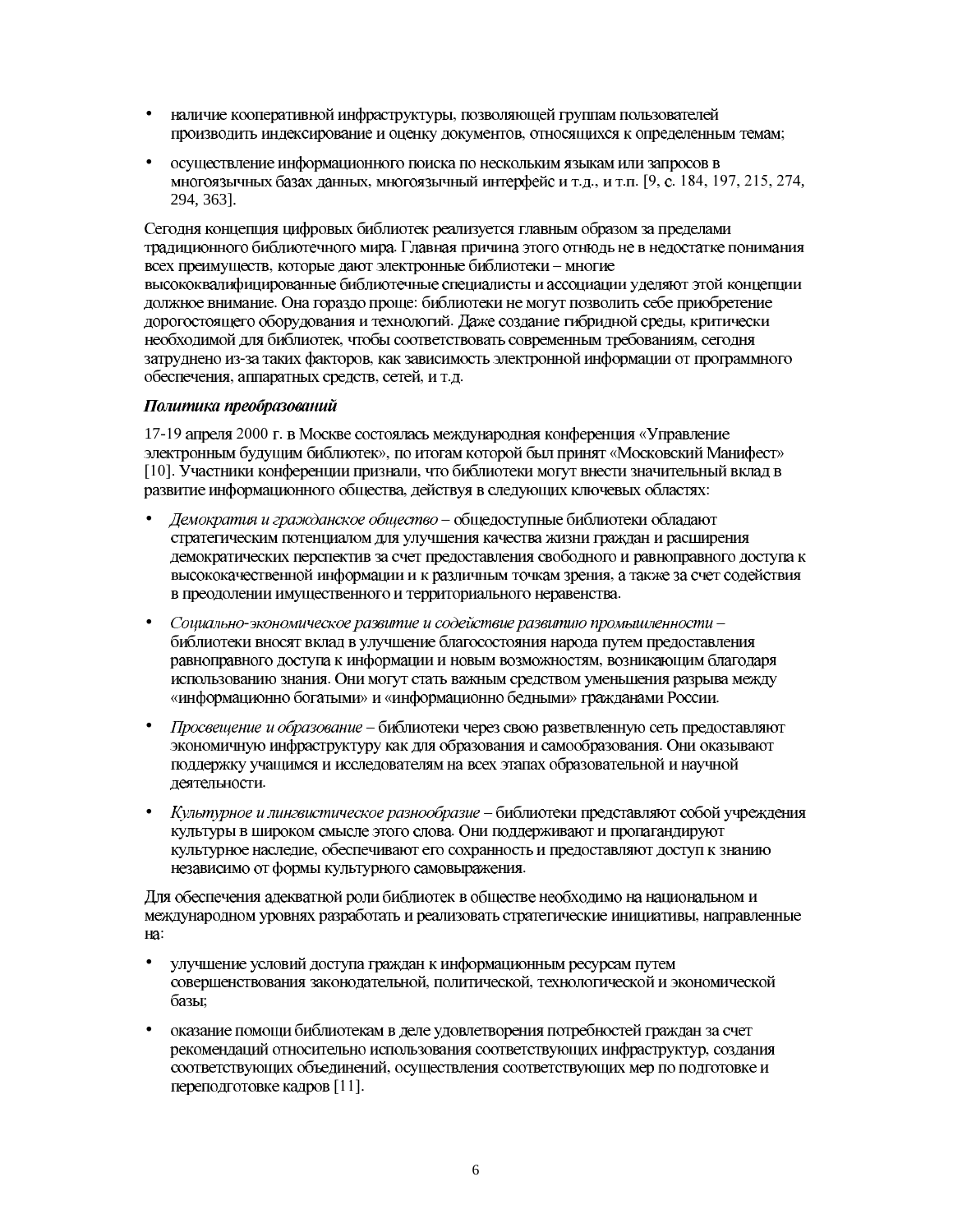- наличие кооперативной инфраструктуры, позволяющей группам пользователей производить индексирование и оценку документов, относящихся к определенным темам;
- осуществление информационного поиска по нескольким языкам или запросов в многоязычных базах данных, многоязычный интерфейс и т.д., и т.п. [9, с. 184, 197, 215, 274, 294, 363].

Сегодня концепция цифровых библиотек реализуется главным образом за пределами традиционного библиотечного мира. Главная причина этого отнюдь не в недостатке понимания всех преимуществ, которые дают электронные библиотеки - многие высококвалифицированные библиотечные специалисты и ассоциации уделяют этой концепции должное внимание. Она гораздо проще: библиотеки не могут позволить себе приобретение дорогостоящего оборудования и технологий. Даже создание гибридной среды, критически необходимой для библиотек, чтобы соответствовать современным требованиям, сегодня затруднено из-за таких факторов, как зависимость электронной информации от программного обеспечения, аппаратных средств, сетей, и т.д.

#### Политика преобразований

17-19 апреля 2000 г. в Москве состоялась международная конференция «Управление электронным будущим библиотек», по итогам которой был принят «Московский Манифест» [10]. Участники конференции признали, что библиотеки могут внести значительный вклад в развитие информационного общества, действуя в следующих ключевых областях:

- Демократия и гражданское общество общедоступные библиотеки обладают стратегическим потенциалом для улучшения качества жизни граждан и расширения демократических перспектив за счет предоставления свободного и равноправного доступа к высококачественной информации и к различным точкам зрения, а также за счет содействия в преодолении имущественного и территориального неравенства.
- Социально-экономическое развитие и содействие развитию промышленности библиотеки вносят вклад в улучшение благосостояния народа путем предоставления равноправного доступа к информации и новым возможностям, возникающим благодаря использованию знания. Они могут стать важным средством уменьшения разрыва между «информационно богатыми» и «информационно бедными» гражданами России.
- Просвещение и образование библиотеки через свою разветвленную сеть предоставляют экономичную инфраструктуру как для образования и самообразования. Они оказывают поддержку учащимся и исследователям на всех этапах образовательной и научной деятельности.
- Культурное и лингвистическое разнообразие библиотеки представляют собой учреждения культуры в широком смысле этого слова. Они поддерживают и пропагандируют культурное наследие, обеспечивают его сохранность и предоставляют доступ к знанию независимо от формы культурного самовыражения.

Для обеспечения адекватной роли библиотек в обществе необходимо на национальном и международном уровнях разработать и реализовать стратегические инициативы, направленные Ha:

- улучшение условий доступа граждан к информационным ресурсам путем  $\bullet$ совершенствования законодательной, политической, технологической и экономической базы:
- оказание помощи библиотекам в деле удовлетворения потребностей граждан за счет  $\bullet$ рекомендаций относительно использования соответствующих инфраструктур, создания соответствующих объединений, осуществления соответствующих мер по подготовке и переподготовке кадров [11].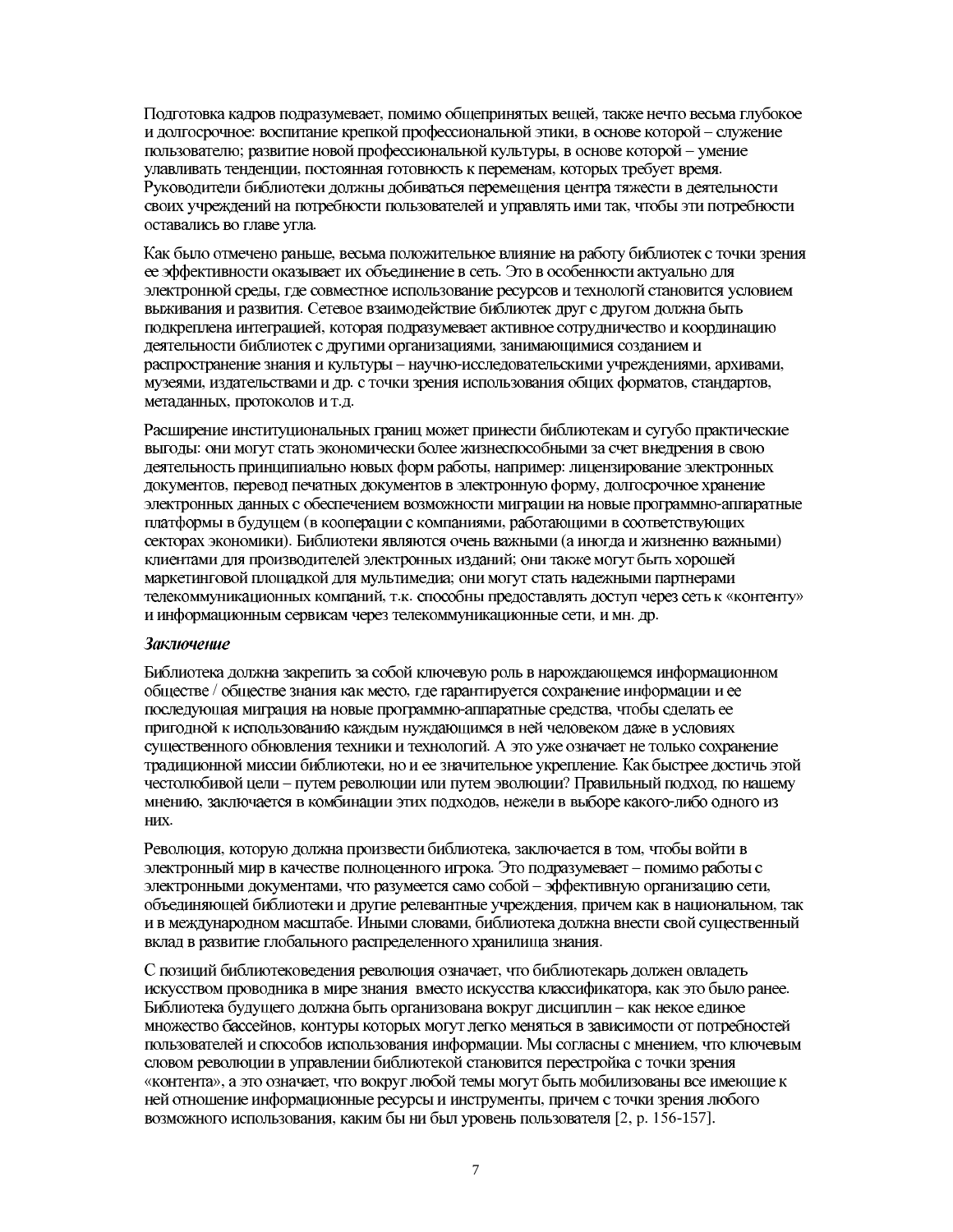Подготовка кадров подразумевает, помимо общепринятых вещей, также нечто весьма глубокое и долгосрочное: воспитание крепкой профессиональной этики, в основе которой - служение пользователю; развитие новой профессиональной культуры, в основе которой - умение улавливать тенденции, постоянная готовность к переменам, которых требует время. Руководители библиотеки должны добиваться перемещения центра тяжести в деятельности своих учреждений на потребности пользователей и управлять ими так, чтобы эти потребности оставались во главе угла.

Как было отмечено раньше, весьма положительное влияние на работу библиотек с точки зрения ее эффективности оказывает их объединение в сеть. Это в особенности актуально для электронной среды, где совместное использование ресурсов и технологй становится условием выживания и развития. Сетевое взаимодействие библиотек друг с другом должна быть подкреплена интеграцией, которая подразумевает активное сотрудничество и координацию деятельности библиотек с другими организациями, занимающимися созданием и распространение знания и культуры - научно-исследовательскими учреждениями, архивами, музеями, издательствами и др. с точки зрения использования общих форматов, стандартов, метаданных, протоколов и т.д.

Расширение институциональных границ может принести библиотекам и сугубо практические выгоды: они могут стать экономически более жизнеспособными за счет внедрения в свою деятельность принципиально новых форм работы, например: лицензирование электронных документов, перевод печатных документов в электронную форму, долгосрочное хранение электронных данных с обеспечением возможности миграции на новые программно-аппаратные платформы в будущем (в кооперации с компаниями, работающими в соответствующих секторах экономики). Библиотеки являются очень важными (а иногда и жизненно важными) клиентами для производителей электронных изданий; они также могут быть хорошей маркетинговой площадкой для мультимедиа; они могут стать надежными партнерами телекоммуникационных компаний, т.к. способны предоставлять доступ через сеть к «контенту» и информационным сервисам через телекоммуникационные сети, и мн. др.

#### Заключение

Библиотека должна закрепить за собой ключевую роль в нарождающемся информационном обществе / обществе знания как место, где гарантируется сохранение информации и ее последующая миграция на новые программно-аппаратные средства, чтобы сделать ее пригодной к использованию каждым нуждающимся в ней человеком даже в условиях существенного обновления техники и технологий. А это уже означает не только сохранение тралиционной миссии библиотеки, но и ее значительное укрепление. Как быстрее лостичь этой честолюбивой цели - путем революции или путем эволюции? Правильный подход, по нашему мнению, заключается в комбинации этих подходов, нежели в выборе какого-либо одного из HИX.

Революция, которую должна произвести библиотека, заключается в том, чтобы войти в электронный мир в качестве полноценного игрока. Это подразумевает - помимо работы с электронными документами, что разумеется само собой - эффективную организацию сети, объединяющей библиотеки и другие релевантные учреждения, причем как в национальном, так и в международном масштабе. Иными словами, библиотека должна внести свой существенный вклад в развитие глобального распределенного хранилища знания.

С позиций библиотековедения революция означает, что библиотекарь должен овладеть искусством проводника в мире знания вместо искусства классификатора, как это было ранее. Библиотека будущего должна быть организована вокруг дисциплин - как некое единое множество бассейнов, контуры которых могут легко меняться в зависимости от потребностей пользователей и способов использования информации. Мы согласны с мнением, что ключевым словом революции в управлении библиотекой становится перестройка с точки зрения «контента», а это означает, что вокруг любой темы могут быть мобилизованы все имеющие к ней отношение информационные ресурсы и инструменты, причем с точки зрения любого возможного использования, каким бы ни был уровень пользователя [2, р. 156-157].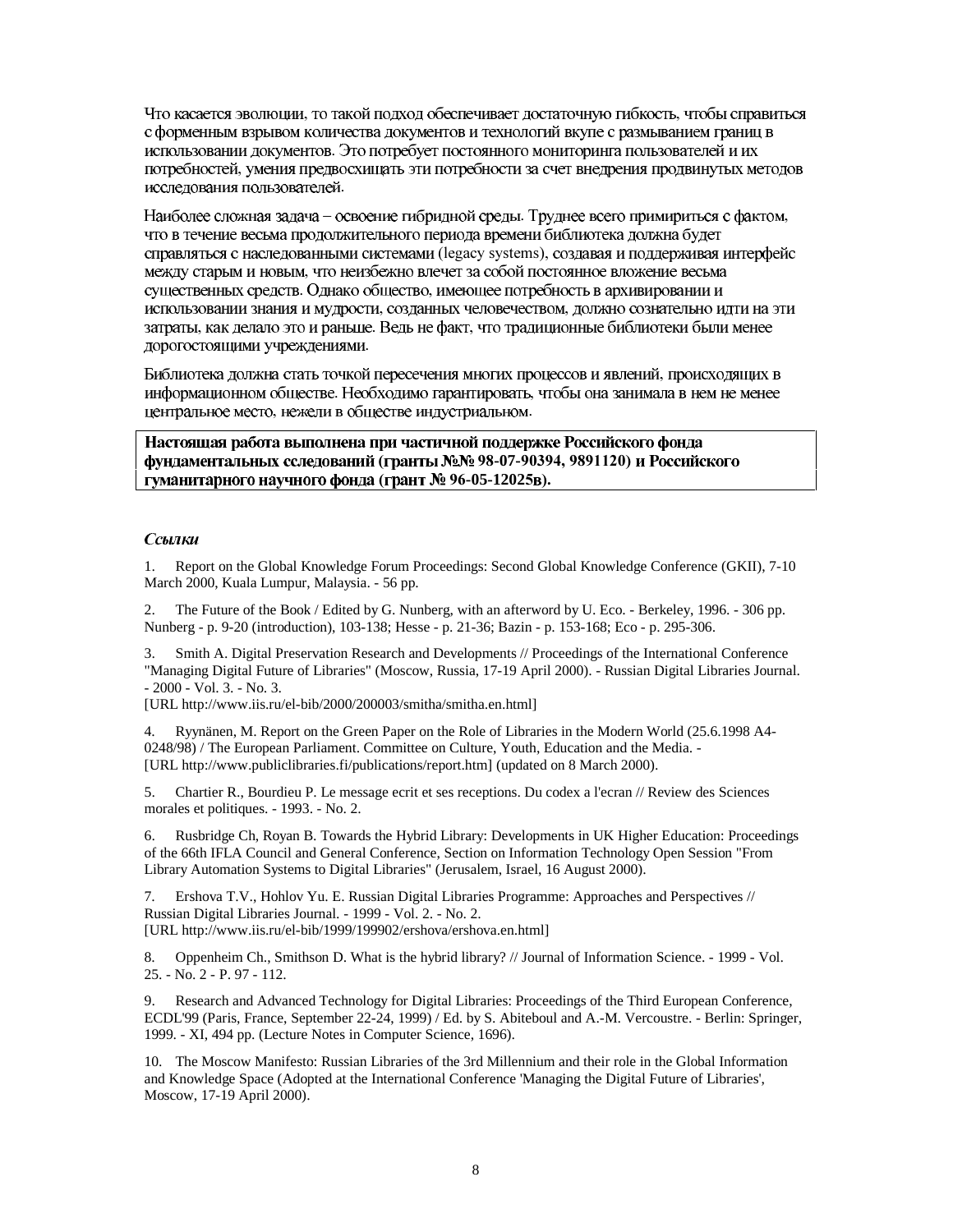, то такой подход обеспечивает достаточную гибкость, с форменным взрывом количества документов и технологий вкупе с размыванием границ в использовании документов. Это потребует постоянного мониторинга пользователей и их исследования пользователей.

– освоение гибридной среды. Труднее всего примириться с фактом, что в течение весьма продолжительного периода времени библиотека должна будет (legacy systems), .<br>, Однако общество, , созданных человечеством, , как делало это и раньше. Ведь не факт, дорогостоящими учреждениями.

- . Необходимо гарантировать, , нежели в обществе индустриальном.

Настоящая работа выполнена при частичной поддержке Российского фонда (гранты №№ 98-07-90394, 9891120) гуманитарного научного фонда (грант № 96-05-12025в).

#### Ссылки

1. Report on the Global Knowledge Forum Proceedings: Second Global Knowledge Conference (GKII), 7-10 March 2000, Kuala Lumpur, Malaysia. - 56 pp.

2. The Future of the Book / Edited by G. Nunberg, with an afterword by U. Eco. - Berkeley, 1996. - 306 pp. Nunberg - p. 9-20 (introduction), 103-138; Hesse - p. 21-36; Bazin - p. 153-168; Eco - p. 295-306.

3. Smith A. Digital Preservation Research and Developments // Proceedings of the International Conference "Managing Digital Future of Libraries" (Moscow, Russia, 17-19 April 2000). - Russian Digital Libraries Journal. - 2000 - Vol. 3. - No. 3.

[URL http://www.iis.ru/el-bib/2000/200003/smitha/smitha.en.html]

4. Ryynänen, M. Report on the Green Paper on the Role of Libraries in the Modern World (25.6.1998 A4- 0248/98) / The European Parliament. Committee on Culture, Youth, Education and the Media. - [URL http://www.publiclibraries.fi/publications/report.htm] (updated on 8 March 2000).

5. Chartier R., Bourdieu P. Le message ecrit et ses receptions. Du codex a l'ecran // Review des Sciences morales et politiques. - 1993. - No. 2.

6. Rusbridge Ch, Royan B. Towards the Hybrid Library: Developments in UK Higher Education: Proceedings of the 66th IFLA Council and General Conference, Section on Information Technology Open Session "From Library Automation Systems to Digital Libraries" (Jerusalem, Israel, 16 August 2000).

7. Ershova T.V., Hohlov Yu. E. Russian Digital Libraries Programme: Approaches and Perspectives // Russian Digital Libraries Journal. - 1999 - Vol. 2. - No. 2. [URL http://www.iis.ru/el-bib/1999/199902/ershova/ershova.en.html]

8. Oppenheim Ch., Smithson D. What is the hybrid library? // Journal of Information Science. - 1999 - Vol. 25. - No. 2 - P. 97 - 112.

9. Research and Advanced Technology for Digital Libraries: Proceedings of the Third European Conference, ECDL'99 (Paris, France, September 22-24, 1999) / Ed. by S. Abiteboul and A.-M. Vercoustre. - Berlin: Springer, 1999. - XI, 494 pp. (Lecture Notes in Computer Science, 1696).

10. The Moscow Manifesto: Russian Libraries of the 3rd Millennium and their role in the Global Information and Knowledge Space (Adopted at the International Conference 'Managing the Digital Future of Libraries', Moscow, 17-19 April 2000).